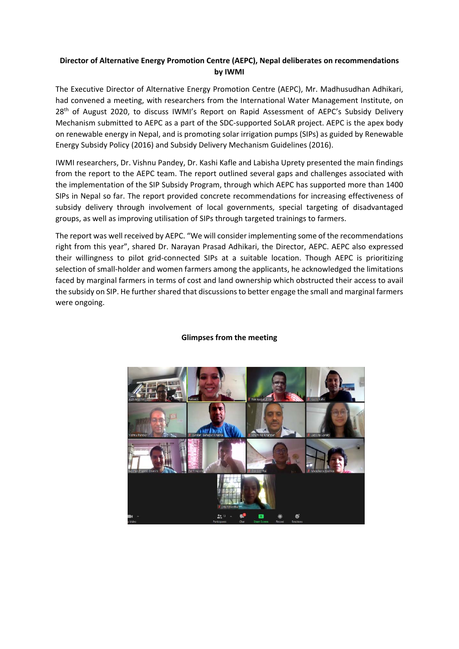## **Director of Alternative Energy Promotion Centre (AEPC), Nepal deliberates on recommendations by IWMI**

The Executive Director of Alternative Energy Promotion Centre (AEPC), Mr. Madhusudhan Adhikari, had convened a meeting, with researchers from the International Water Management Institute, on 28<sup>th</sup> of August 2020, to discuss IWMI's Report on Rapid Assessment of AEPC's Subsidy Delivery Mechanism submitted to AEPC as a part of the SDC‐supported SoLAR project. AEPC is the apex body on renewable energy in Nepal, and is promoting solar irrigation pumps (SIPs) as guided by Renewable Energy Subsidy Policy (2016) and Subsidy Delivery Mechanism Guidelines (2016).

IWMI researchers, Dr. Vishnu Pandey, Dr. Kashi Kafle and Labisha Uprety presented the main findings from the report to the AEPC team. The report outlined several gaps and challenges associated with the implementation of the SIP Subsidy Program, through which AEPC has supported more than 1400 SIPs in Nepal so far. The report provided concrete recommendations for increasing effectiveness of subsidy delivery through involvement of local governments, special targeting of disadvantaged groups, as well as improving utilisation of SIPs through targeted trainings to farmers.

The report was well received by AEPC. "We will consider implementing some of the recommendations right from this year", shared Dr. Narayan Prasad Adhikari, the Director, AEPC. AEPC also expressed their willingness to pilot grid‐connected SIPs at a suitable location. Though AEPC is prioritizing selection of small‐holder and women farmers among the applicants, he acknowledged the limitations faced by marginal farmers in terms of cost and land ownership which obstructed their access to avail the subsidy on SIP. He further shared that discussions to better engage the small and marginal farmers were ongoing.



## **Glimpses from the meeting**